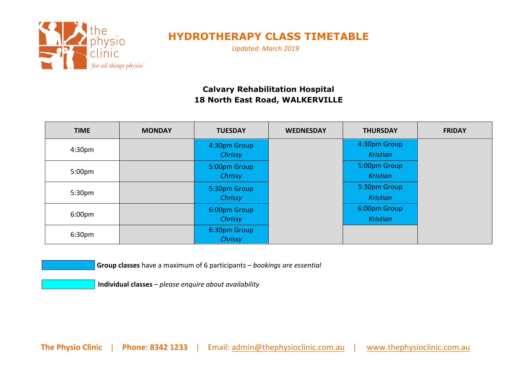

*Updated: March 2019*

### **Calvary Rehabilitation Hospital 18 North East Road, WALKERVILLE**

| <b>TIME</b>        | <b>MONDAY</b> | <b>TUESDAY</b>                 | <b>WEDNESDAY</b> | <b>THURSDAY</b>                 | <b>FRIDAY</b> |
|--------------------|---------------|--------------------------------|------------------|---------------------------------|---------------|
| 4:30 <sub>pm</sub> |               | 4:30pm Group<br>Chrissy        |                  | 4:30pm Group<br><b>Kristian</b> |               |
| 5:00pm             |               | 5:00pm Group<br>Chrissy        |                  | 5:00pm Group<br><b>Kristian</b> |               |
| 5:30pm             |               | 5:30pm Group<br>Chrissy        |                  | 5:30pm Group<br><b>Kristian</b> |               |
| 6:00 <sub>pm</sub> |               | 6:00pm Group<br><b>Chrissy</b> |                  | 6:00pm Group<br><b>Kristian</b> |               |
| 6:30 <sub>pm</sub> |               | 6:30pm Group<br>Chrissy        |                  |                                 |               |

**Group classes** have a maximum of 6 participants – bookings are essential

**Individual classes** – *please enquire about availability*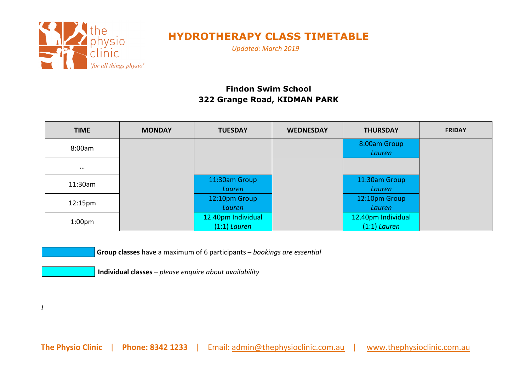

*Updated: March 2019*

### **Findon Swim School 322 Grange Road, KIDMAN PARK**

| <b>TIME</b>        | <b>MONDAY</b> | <b>TUESDAY</b>                       | <b>WEDNESDAY</b> | <b>THURSDAY</b>                      | <b>FRIDAY</b> |
|--------------------|---------------|--------------------------------------|------------------|--------------------------------------|---------------|
| 8:00am             |               |                                      |                  | 8:00am Group<br>Lauren               |               |
| $\cdots$           |               |                                      |                  |                                      |               |
| 11:30am            |               | 11:30am Group<br>Lauren              |                  | 11:30am Group<br><b>Lauren</b>       |               |
| 12:15pm            |               | 12:10pm Group<br>Lauren              |                  | 12:10pm Group<br><b>Lauren</b>       |               |
| 1:00 <sub>pm</sub> |               | 12.40pm Individual<br>$(1:1)$ Lauren |                  | 12.40pm Individual<br>$(1:1)$ Lauren |               |

*!*

**Group classes** have a maximum of 6 participants – *bookings are essential* 

**Individual classes** – *please enquire about availability*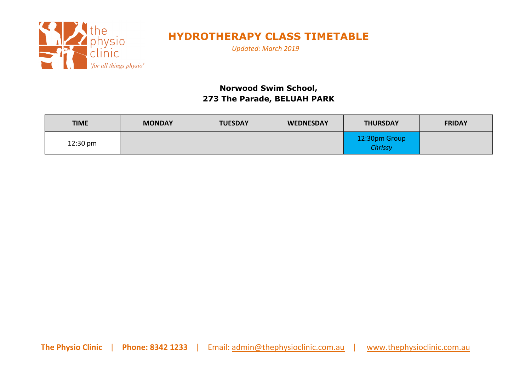

*Updated: March 2019*

### **Norwood Swim School, 273 The Parade, BELUAH PARK**

| <b>TIME</b> | <b>MONDAY</b> | <b>TUESDAY</b> | <b>WEDNESDAY</b> | <b>THURSDAY</b>                 | <b>FRIDAY</b> |
|-------------|---------------|----------------|------------------|---------------------------------|---------------|
| 12:30 pm    |               |                |                  | 12:30pm Group<br><b>Chrissy</b> |               |